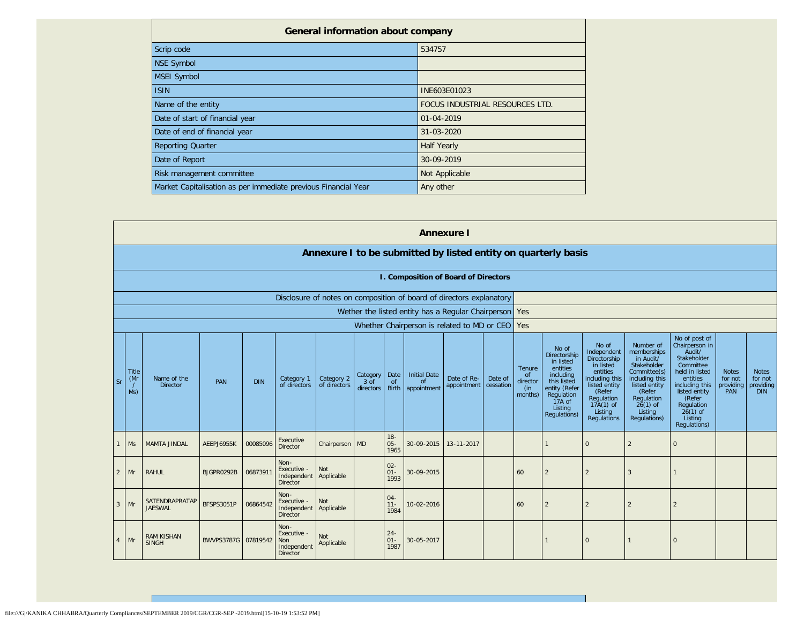| <b>General information about company</b>                       |                                 |  |  |  |  |  |
|----------------------------------------------------------------|---------------------------------|--|--|--|--|--|
| Scrip code                                                     | 534757                          |  |  |  |  |  |
| NSE Symbol                                                     |                                 |  |  |  |  |  |
| MSEI Symbol                                                    |                                 |  |  |  |  |  |
| <b>ISIN</b>                                                    | INE603E01023                    |  |  |  |  |  |
| Name of the entity                                             | FOCUS INDUSTRIAL RESOURCES LTD. |  |  |  |  |  |
| Date of start of financial year                                | $01 - 04 - 2019$                |  |  |  |  |  |
| Date of end of financial year                                  | $31 - 03 - 2020$                |  |  |  |  |  |
| <b>Reporting Quarter</b>                                       | <b>Half Yearly</b>              |  |  |  |  |  |
| Date of Report                                                 | 30-09-2019                      |  |  |  |  |  |
| Risk management committee                                      | Not Applicable                  |  |  |  |  |  |
| Market Capitalisation as per immediate previous Financial Year | Any other                       |  |  |  |  |  |

|                |                     |                                   |                     |            |                                                              |                            |                               |                          |                                                                      | <b>Annexure I</b>          |                      |                                            |                                                                                                                                                |                                                                                                                                                                          |                                                                                                                                                                          |                                                                                                                                                                                                         |                                             |                                                    |
|----------------|---------------------|-----------------------------------|---------------------|------------|--------------------------------------------------------------|----------------------------|-------------------------------|--------------------------|----------------------------------------------------------------------|----------------------------|----------------------|--------------------------------------------|------------------------------------------------------------------------------------------------------------------------------------------------|--------------------------------------------------------------------------------------------------------------------------------------------------------------------------|--------------------------------------------------------------------------------------------------------------------------------------------------------------------------|---------------------------------------------------------------------------------------------------------------------------------------------------------------------------------------------------------|---------------------------------------------|----------------------------------------------------|
|                |                     |                                   |                     |            |                                                              |                            |                               |                          | Annexure I to be submitted by listed entity on quarterly basis       |                            |                      |                                            |                                                                                                                                                |                                                                                                                                                                          |                                                                                                                                                                          |                                                                                                                                                                                                         |                                             |                                                    |
|                |                     |                                   |                     |            |                                                              |                            |                               |                          | I. Composition of Board of Directors                                 |                            |                      |                                            |                                                                                                                                                |                                                                                                                                                                          |                                                                                                                                                                          |                                                                                                                                                                                                         |                                             |                                                    |
|                |                     |                                   |                     |            |                                                              |                            |                               |                          | Disclosure of notes on composition of board of directors explanatory |                            |                      |                                            |                                                                                                                                                |                                                                                                                                                                          |                                                                                                                                                                          |                                                                                                                                                                                                         |                                             |                                                    |
|                |                     |                                   |                     |            |                                                              |                            |                               |                          | Wether the listed entity has a Regular Chairperson Yes               |                            |                      |                                            |                                                                                                                                                |                                                                                                                                                                          |                                                                                                                                                                          |                                                                                                                                                                                                         |                                             |                                                    |
|                |                     |                                   |                     |            |                                                              |                            |                               |                          | Whether Chairperson is related to MD or CEO                          |                            |                      | Yes                                        |                                                                                                                                                |                                                                                                                                                                          |                                                                                                                                                                          |                                                                                                                                                                                                         |                                             |                                                    |
| Sr             | Title<br>(Mr<br>Ms) | Name of the<br><b>Director</b>    | PAN                 | <b>DIN</b> | Category 1<br>of directors                                   | Category 2<br>of directors | Category<br>3 of<br>directors | Date<br><b>of</b>        | <b>Initial Date</b><br>$\Omega$<br>Birth   appointment               | Date of Re-<br>appointment | Date of<br>cessation | Tenure<br>of<br>director<br>(in<br>months) | No of<br>Directorship<br>in listed<br>entities<br>including<br>this listed<br>entity (Refer<br>Regulation<br>17A of<br>Listing<br>Regulations) | No of<br>Independent<br>Directorship<br>in listed<br>entities<br>including this<br>listed entity<br>(Refer<br>Regulation<br>$17A(1)$ of<br>Listina<br><b>Regulations</b> | Number of<br>memberships<br>in Audit/<br>Stakeholder<br>Committee(s)<br>including this<br>listed entity<br>(Refer<br>Regulation<br>$26(1)$ of<br>Listing<br>Regulations) | No of post of<br>Chairperson in<br>Audit/<br>Stakeholder<br>Committee<br>held in listed<br>entities<br>including this<br>listed entity<br>(Refer<br>Regulation<br>$26(1)$ of<br>Listing<br>Regulations) | <b>Notes</b><br>for not<br>providing<br>PAN | <b>Notes</b><br>for not<br>providing<br><b>DIN</b> |
|                | <b>Ms</b>           | <b>MAMTA JINDAL</b>               | AEEPJ6955K          | 00085096   | Executive<br>Director                                        | Chairperson MD             |                               | $18 -$<br>$05 -$<br>1965 | 30-09-2015                                                           | 13-11-2017                 |                      |                                            |                                                                                                                                                | $\overline{0}$                                                                                                                                                           | 2                                                                                                                                                                        | $\mathbf{0}$                                                                                                                                                                                            |                                             |                                                    |
| $\overline{2}$ | Mr                  | <b>RAHUL</b>                      | BJGPR0292B          | 0687391    | Non-<br>Executive -<br>Independent<br>Director               | Not<br>Applicable          |                               | $02 -$<br>$01 -$<br>1993 | 30-09-2015                                                           |                            |                      | 60                                         | $\overline{2}$                                                                                                                                 | $\overline{2}$                                                                                                                                                           | 3                                                                                                                                                                        |                                                                                                                                                                                                         |                                             |                                                    |
| $\mathbf{3}$   | Mr                  | SATENDRAPRATAP<br><b>JAESWAL</b>  | <b>BFSPS3051P</b>   | 06864542   | Non-<br>Executive -<br>Independent<br>Director               | <b>Not</b><br>Applicable   |                               | $04 -$<br>$11 -$<br>1984 | 10-02-2016                                                           |                            |                      | 60                                         | $\overline{2}$                                                                                                                                 | $\overline{2}$                                                                                                                                                           |                                                                                                                                                                          | $\overline{2}$                                                                                                                                                                                          |                                             |                                                    |
| 4              | Mr                  | <b>RAM KISHAN</b><br><b>SINGH</b> | BWVPS3787G 07819542 |            | Non-<br>Executive -<br>Non<br>Independent<br><b>Director</b> | <b>Not</b><br>Applicable   |                               | $24 -$<br>01<br>1987     | 30-05-2017                                                           |                            |                      |                                            |                                                                                                                                                | $\Omega$                                                                                                                                                                 |                                                                                                                                                                          | $\mathbf 0$                                                                                                                                                                                             |                                             |                                                    |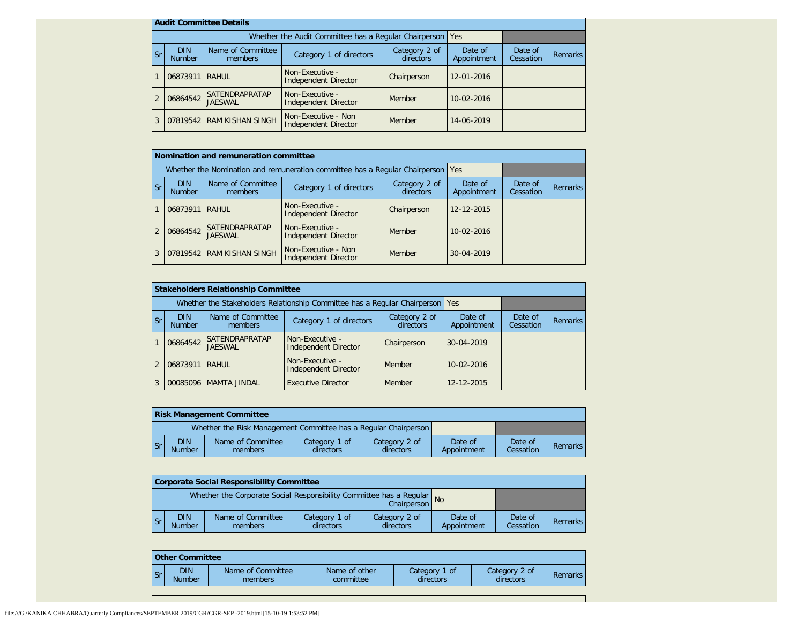|   | <b>Audit Committee Details</b>                                                                      |                           |                                                             |                        |                      |                |  |
|---|-----------------------------------------------------------------------------------------------------|---------------------------|-------------------------------------------------------------|------------------------|----------------------|----------------|--|
|   |                                                                                                     |                           | Whether the Audit Committee has a Regular Chairperson   Yes |                        |                      |                |  |
|   | Name of Committee<br><b>DIN</b><br>Category 1 of directors<br><b>Sr</b><br><b>Number</b><br>members |                           | Category 2 of<br>directors                                  | Date of<br>Appointment | Date of<br>Cessation | <b>Remarks</b> |  |
|   | 06873911                                                                                            | <b>RAHUL</b>              | Non-Executive -<br>Independent Director                     | Chairperson            | $12 - 01 - 2016$     |                |  |
| 2 | Non-Executive -<br>SATENDRAPRATAP<br>06864542<br><b>JAESWAL</b><br>Independent Director             |                           | Member                                                      | $10 - 02 - 2016$       |                      |                |  |
| 3 |                                                                                                     | 07819542 RAM KISHAN SINGH | Non-Executive - Non<br>Independent Director                 | Member                 | $14 - 06 - 2019$     |                |  |

|                |                                                                                                                      | Nomination and remuneration committee   |                                                                                   |                        |                      |                |  |
|----------------|----------------------------------------------------------------------------------------------------------------------|-----------------------------------------|-----------------------------------------------------------------------------------|------------------------|----------------------|----------------|--|
|                |                                                                                                                      |                                         | Whether the Nomination and remuneration committee has a Regular Chairperson   Yes |                        |                      |                |  |
| <b>Sr</b>      | Name of Committee<br><b>DIN</b><br>Category 2 of<br>Category 1 of directors<br>directors<br><b>Number</b><br>members |                                         |                                                                                   | Date of<br>Appointment | Date of<br>Cessation | <b>Remarks</b> |  |
|                | 06873911 RAHUL                                                                                                       |                                         | Non-Executive -<br><b>Independent Director</b>                                    | Chairperson            | 12-12-2015           |                |  |
| $\overline{2}$ | 06864542                                                                                                             | <b>SATENDRAPRATAP</b><br><b>JAESWAL</b> | Non-Executive -<br><b>Independent Director</b>                                    | Member                 | $10 - 02 - 2016$     |                |  |
| 3              |                                                                                                                      | 07819542 RAM KISHAN SINGH               | Non-Executive - Non<br><b>Independent Director</b>                                | Member                 | 30-04-2019           |                |  |

|                |                             | <b>Stakeholders Relationship Committee</b> |                                                                                 |                            |                        |                      |                |
|----------------|-----------------------------|--------------------------------------------|---------------------------------------------------------------------------------|----------------------------|------------------------|----------------------|----------------|
|                |                             |                                            | Whether the Stakeholders Relationship Committee has a Regular Chairperson   Yes |                            |                        |                      |                |
| <b>Sr</b>      | <b>DIN</b><br><b>Number</b> | Name of Committee<br>members               | Category 1 of directors                                                         | Category 2 of<br>directors | Date of<br>Appointment | Date of<br>Cessation | <b>Remarks</b> |
|                | 06864542                    | <b>SATENDRAPRATAP</b><br><b>JAESWAL</b>    | Non-Executive -<br>Independent Director                                         | Chairperson                | $30 - 04 - 2019$       |                      |                |
| $\overline{2}$ | 06873911 RAHUL              |                                            | Non-Executive -<br>Independent Director                                         | Member                     | $10 - 02 - 2016$       |                      |                |
| 3              |                             | 00085096   MAMTA JINDAL                    | <b>Executive Director</b>                                                       | Member                     | 12-12-2015             |                      |                |

|                                                                 | <b>Risk Management Committee</b> |                              |                            |                            |                        |                      |                |  |
|-----------------------------------------------------------------|----------------------------------|------------------------------|----------------------------|----------------------------|------------------------|----------------------|----------------|--|
| Whether the Risk Management Committee has a Regular Chairperson |                                  |                              |                            |                            |                        |                      |                |  |
| l Sr                                                            | <b>DIN</b><br><b>Number</b>      | Name of Committee<br>members | Category 1 of<br>directors | Category 2 of<br>directors | Date of<br>Appointment | Date of<br>Cessation | <b>Remarks</b> |  |

|                                                                                       |      | Corporate Social Responsibility Committee |                              |                            |                            |                        |                      |         |  |  |
|---------------------------------------------------------------------------------------|------|-------------------------------------------|------------------------------|----------------------------|----------------------------|------------------------|----------------------|---------|--|--|
| Whether the Corporate Social Responsibility Committee has a Regular<br>Chairperson No |      |                                           |                              |                            |                            |                        |                      |         |  |  |
|                                                                                       | l Sr | <b>DIN</b><br><b>Number</b>               | Name of Committee<br>members | Category 1 of<br>directors | Category 2 of<br>directors | Date of<br>Appointment | Date of<br>Cessation | Remarks |  |  |

| <b>Other Committee</b> |                      |                              |                            |                            |                            |                |  |
|------------------------|----------------------|------------------------------|----------------------------|----------------------------|----------------------------|----------------|--|
| ы                      | <b>DIN</b><br>Number | Name of Committee<br>members | Name of other<br>committee | Category 1 of<br>directors | Category 2 of<br>directors | <b>Remarks</b> |  |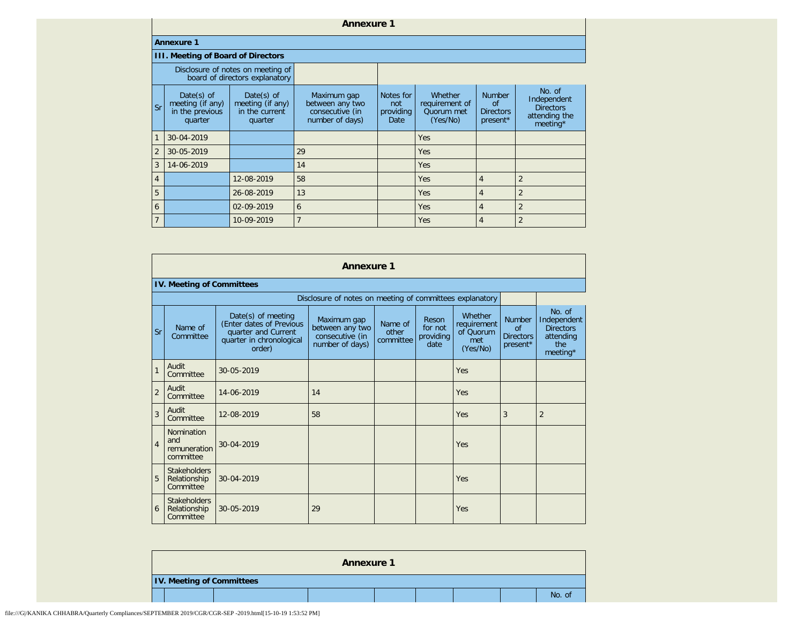## **Annexure 1**

## **Annexure 1**

## **III. Meeting of Board of Directors**

|                        |                                                                 | Disclosure of notes on meeting of<br>board of directors explanatory |                                                                      |                                       |                                                     |                                                     |                                                                        |
|------------------------|-----------------------------------------------------------------|---------------------------------------------------------------------|----------------------------------------------------------------------|---------------------------------------|-----------------------------------------------------|-----------------------------------------------------|------------------------------------------------------------------------|
| $\overline{\text{sr}}$ | Date $(s)$ of<br>meeting (if any)<br>in the previous<br>quarter | Date $(s)$ of<br>meeting (if any)<br>in the current<br>quarter      | Maximum gap<br>between any two<br>consecutive (in<br>number of days) | Notes for<br>not<br>providing<br>Date | Whether<br>requirement of<br>Quorum met<br>(Yes/No) | <b>Number</b><br>of<br><b>Directors</b><br>present* | No. of<br>Independent<br><b>Directors</b><br>attending the<br>meeting* |
| $\overline{1}$         | 30-04-2019                                                      |                                                                     |                                                                      |                                       | <b>Yes</b>                                          |                                                     |                                                                        |
| $\overline{2}$         | 30-05-2019                                                      |                                                                     | 29                                                                   |                                       | <b>Yes</b>                                          |                                                     |                                                                        |
| $\overline{3}$         | 14-06-2019                                                      |                                                                     | 14                                                                   |                                       | <b>Yes</b>                                          |                                                     |                                                                        |
| $\overline{4}$         |                                                                 | 12-08-2019                                                          | 58                                                                   |                                       | <b>Yes</b>                                          | $\overline{4}$                                      | $\overline{2}$                                                         |
| $5\overline{5}$        |                                                                 | 26-08-2019                                                          | 13                                                                   |                                       | Yes                                                 | 4                                                   | $\mathfrak{p}$                                                         |
| 6                      |                                                                 | 02-09-2019                                                          | 6                                                                    |                                       | <b>Yes</b>                                          | 4                                                   | $\overline{2}$                                                         |
| $\overline{7}$         |                                                                 | 10-09-2019                                                          |                                                                      |                                       | Yes                                                 | 4                                                   | $\overline{2}$                                                         |

|                | <b>Annexure 1</b>                                        |                                                                                                             |                                                                      |                               |                                       |                                                        |                                                     |                                                                              |  |  |
|----------------|----------------------------------------------------------|-------------------------------------------------------------------------------------------------------------|----------------------------------------------------------------------|-------------------------------|---------------------------------------|--------------------------------------------------------|-----------------------------------------------------|------------------------------------------------------------------------------|--|--|
|                | <b>IV. Meeting of Committees</b>                         |                                                                                                             |                                                                      |                               |                                       |                                                        |                                                     |                                                                              |  |  |
|                | Disclosure of notes on meeting of committees explanatory |                                                                                                             |                                                                      |                               |                                       |                                                        |                                                     |                                                                              |  |  |
| Sr             | Name of<br>Committee                                     | Date(s) of meeting<br>(Enter dates of Previous<br>quarter and Current<br>quarter in chronological<br>order) | Maximum gap<br>between any two<br>consecutive (in<br>number of days) | Name of<br>other<br>committee | Reson<br>for not<br>providing<br>date | Whether<br>requirement<br>of Ouorum<br>met<br>(Yes/No) | <b>Number</b><br>of<br><b>Directors</b><br>present* | No. of<br>Independent<br><b>Directors</b><br>attending<br>the<br>meeting $*$ |  |  |
| $\mathbf{1}$   | Audit<br>Committee                                       | 30-05-2019                                                                                                  |                                                                      |                               |                                       | Yes                                                    |                                                     |                                                                              |  |  |
| $\overline{2}$ | Audit<br>Committee                                       | 14-06-2019                                                                                                  | 14                                                                   |                               |                                       | Yes                                                    |                                                     |                                                                              |  |  |
| $\overline{3}$ | Audit<br>Committee                                       | 12-08-2019                                                                                                  | 58                                                                   |                               |                                       | Yes                                                    | 3                                                   | $\overline{2}$                                                               |  |  |
| $\overline{4}$ | <b>Nomination</b><br>and<br>remuneration<br>committee    | 30-04-2019                                                                                                  |                                                                      |                               |                                       | Yes                                                    |                                                     |                                                                              |  |  |
| 5              | <b>Stakeholders</b><br>Relationship<br>Committee         | $30 - 04 - 2019$                                                                                            |                                                                      |                               |                                       | Yes                                                    |                                                     |                                                                              |  |  |
| 6              | <b>Stakeholders</b><br>Relationship<br>Committee         | 30-05-2019                                                                                                  | 29                                                                   |                               |                                       | Yes                                                    |                                                     |                                                                              |  |  |

|  |                                  | <b>Annexure 1</b> |  |  |        |
|--|----------------------------------|-------------------|--|--|--------|
|  | <b>IV. Meeting of Committees</b> |                   |  |  |        |
|  |                                  |                   |  |  | No. of |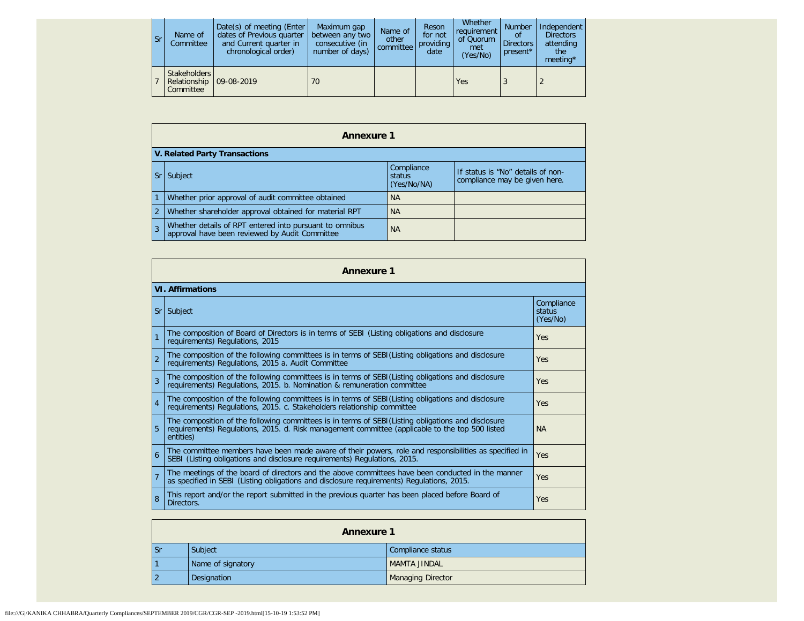| <b>Sr</b> | Name of<br>Committee                      | Date(s) of meeting (Enter<br>dates of Previous quarter<br>and Current quarter in<br>chronological order) | Maximum gap<br>between any two<br>consecutive (in<br>number of days) | Name of<br>other<br>committee | Reson<br>for not<br>providing<br>date | Whether<br>requirement<br>of Quorum<br>met<br>(Yes/No) | <b>Number</b><br>Ωt<br><b>Directors</b><br>present* | Independent<br><b>Directors</b><br>attending<br>the<br>meeting $*$ |
|-----------|-------------------------------------------|----------------------------------------------------------------------------------------------------------|----------------------------------------------------------------------|-------------------------------|---------------------------------------|--------------------------------------------------------|-----------------------------------------------------|--------------------------------------------------------------------|
|           | Stakeholders<br>Relationship<br>Committee | $109 - 08 - 2019$                                                                                        | 70                                                                   |                               |                                       | Yes                                                    |                                                     |                                                                    |

| <b>Annexure 1</b> |                                                                                                           |                                     |                                                                    |  |
|-------------------|-----------------------------------------------------------------------------------------------------------|-------------------------------------|--------------------------------------------------------------------|--|
|                   | V. Related Party Transactions                                                                             |                                     |                                                                    |  |
|                   | <b>Subject</b>                                                                                            | Compliance<br>status<br>(Yes/No/NA) | If status is "No" details of non-<br>compliance may be given here. |  |
|                   | Whether prior approval of audit committee obtained                                                        | <b>NA</b>                           |                                                                    |  |
| $\overline{2}$    | Whether shareholder approval obtained for material RPT                                                    | <b>NA</b>                           |                                                                    |  |
|                   | Whether details of RPT entered into pursuant to omnibus<br>approval have been reviewed by Audit Committee | <b>NA</b>                           |                                                                    |  |

| <b>Annexure 1</b> |                                                                                                                                                                                                                    |                                  |  |  |
|-------------------|--------------------------------------------------------------------------------------------------------------------------------------------------------------------------------------------------------------------|----------------------------------|--|--|
|                   | <b>VI. Affirmations</b>                                                                                                                                                                                            |                                  |  |  |
|                   | Sr Subject                                                                                                                                                                                                         | Compliance<br>status<br>(Yes/No) |  |  |
| $\mathbf{1}$      | The composition of Board of Directors is in terms of SEBI (Listing obligations and disclosure<br>requirements) Regulations, 2015                                                                                   | Yes                              |  |  |
| $\mathfrak{D}$    | The composition of the following committees is in terms of SEBI(Listing obligations and disclosure<br>requirements) Regulations, 2015 a. Audit Committee                                                           | Yes                              |  |  |
| 3                 | The composition of the following committees is in terms of SEBI(Listing obligations and disclosure<br>requirements) Regulations, 2015. b. Nomination & remuneration committee                                      | Yes                              |  |  |
| $\overline{4}$    | The composition of the following committees is in terms of SEBI(Listing obligations and disclosure<br>requirements) Regulations, 2015. c. Stakeholders relationship committee                                      | Yes                              |  |  |
|                   | The composition of the following committees is in terms of SEBI(Listing obligations and disclosure<br>requirements) Regulations, 2015. d. Risk management committee (applicable to the top 500 listed<br>entities) | <b>NA</b>                        |  |  |
| 6                 | The committee members have been made aware of their powers, role and responsibilities as specified in<br>SEBI (Listing obligations and disclosure requirements) Regulations, 2015.                                 | Yes                              |  |  |
| $\overline{7}$    | The meetings of the board of directors and the above committees have been conducted in the manner<br>as specified in SEBI (Listing obligations and disclosure requirements) Regulations, 2015.                     | Yes                              |  |  |
| 8                 | This report and/or the report submitted in the previous quarter has been placed before Board of<br>Directors.                                                                                                      | Yes                              |  |  |

| <b>Annexure 1</b> |                   |                          |
|-------------------|-------------------|--------------------------|
| <b>Sr</b>         | Subject           | Compliance status        |
|                   | Name of signatory | <b>MAMTA JINDAL</b>      |
| $\overline{2}$    | Designation       | <b>Managing Director</b> |